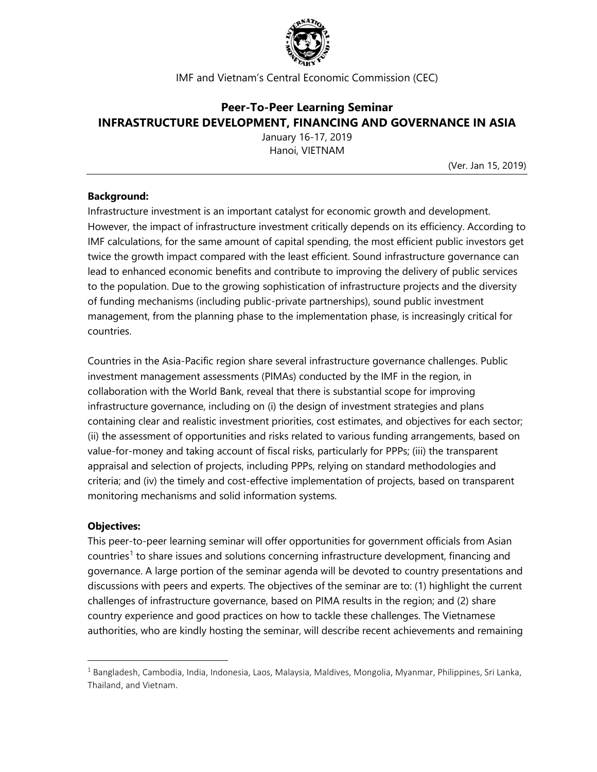

IMF and Vietnam's Central Economic Commission (CEC)

# **Peer-To-Peer Learning Seminar INFRASTRUCTURE DEVELOPMENT, FINANCING AND GOVERNANCE IN ASIA**

January 16-17, 2019 Hanoi, VIETNAM

(Ver. Jan 15, 2019)

## **Background:**

Infrastructure investment is an important catalyst for economic growth and development. However, the impact of infrastructure investment critically depends on its efficiency. According to IMF calculations, for the same amount of capital spending, the most efficient public investors get twice the growth impact compared with the least efficient. Sound infrastructure governance can lead to enhanced economic benefits and contribute to improving the delivery of public services to the population. Due to the growing sophistication of infrastructure projects and the diversity of funding mechanisms (including public-private partnerships), sound public investment management, from the planning phase to the implementation phase, is increasingly critical for countries.

Countries in the Asia-Pacific region share several infrastructure governance challenges. Public investment management assessments (PIMAs) conducted by the IMF in the region, in collaboration with the World Bank, reveal that there is substantial scope for improving infrastructure governance, including on (i) the design of investment strategies and plans containing clear and realistic investment priorities, cost estimates, and objectives for each sector; (ii) the assessment of opportunities and risks related to various funding arrangements, based on value-for-money and taking account of fiscal risks, particularly for PPPs; (iii) the transparent appraisal and selection of projects, including PPPs, relying on standard methodologies and criteria; and (iv) the timely and cost-effective implementation of projects, based on transparent monitoring mechanisms and solid information systems.

## **Objectives:**

 $\overline{a}$ 

This peer-to-peer learning seminar will offer opportunities for government officials from Asian countries<sup>[1](#page-0-0)</sup> to share issues and solutions concerning infrastructure development, financing and governance. A large portion of the seminar agenda will be devoted to country presentations and discussions with peers and experts. The objectives of the seminar are to: (1) highlight the current challenges of infrastructure governance, based on PIMA results in the region; and (2) share country experience and good practices on how to tackle these challenges. The Vietnamese authorities, who are kindly hosting the seminar, will describe recent achievements and remaining

<span id="page-0-0"></span><sup>&</sup>lt;sup>1</sup> Bangladesh, Cambodia, India, Indonesia, Laos, Malaysia, Maldives, Mongolia, Myanmar, Philippines, Sri Lanka, Thailand, and Vietnam.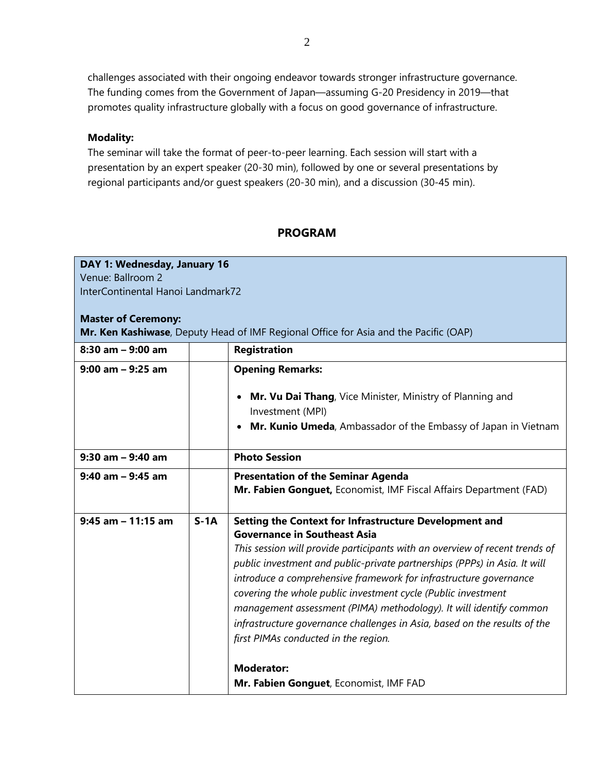challenges associated with their ongoing endeavor towards stronger infrastructure governance. The funding comes from the Government of Japan—assuming G-20 Presidency in 2019—that promotes quality infrastructure globally with a focus on good governance of infrastructure.

#### **Modality:**

The seminar will take the format of peer-to-peer learning. Each session will start with a presentation by an expert speaker (20-30 min), followed by one or several presentations by regional participants and/or guest speakers (20-30 min), and a discussion (30-45 min).

## **PROGRAM**

### **DAY 1: Wednesday, January 16** Venue: Ballroom 2

InterContinental Hanoi Landmark72

### **Master of Ceremony:**

**Mr. Ken Kashiwase**, Deputy Head of IMF Regional Office for Asia and the Pacific (OAP)

| $8:30$ am $-9:00$ am  |        | <b>Registration</b>                                                                                                                                      |
|-----------------------|--------|----------------------------------------------------------------------------------------------------------------------------------------------------------|
| $9:00$ am $-9:25$ am  |        | <b>Opening Remarks:</b>                                                                                                                                  |
|                       |        | Mr. Vu Dai Thang, Vice Minister, Ministry of Planning and<br>Investment (MPI)                                                                            |
|                       |        | Mr. Kunio Umeda, Ambassador of the Embassy of Japan in Vietnam                                                                                           |
| $9:30$ am $-9:40$ am  |        | <b>Photo Session</b>                                                                                                                                     |
| $9:40$ am - $9:45$ am |        | <b>Presentation of the Seminar Agenda</b>                                                                                                                |
|                       |        | Mr. Fabien Gonguet, Economist, IMF Fiscal Affairs Department (FAD)                                                                                       |
| $9:45$ am $-11:15$ am | $S-1A$ | Setting the Context for Infrastructure Development and<br><b>Governance in Southeast Asia</b>                                                            |
|                       |        | This session will provide participants with an overview of recent trends of<br>public investment and public-private partnerships (PPPs) in Asia. It will |
|                       |        | introduce a comprehensive framework for infrastructure governance                                                                                        |
|                       |        | covering the whole public investment cycle (Public investment<br>management assessment (PIMA) methodology). It will identify common                      |
|                       |        | infrastructure governance challenges in Asia, based on the results of the                                                                                |
|                       |        | first PIMAs conducted in the region.                                                                                                                     |
|                       |        | <b>Moderator:</b>                                                                                                                                        |
|                       |        | Mr. Fabien Gonguet, Economist, IMF FAD                                                                                                                   |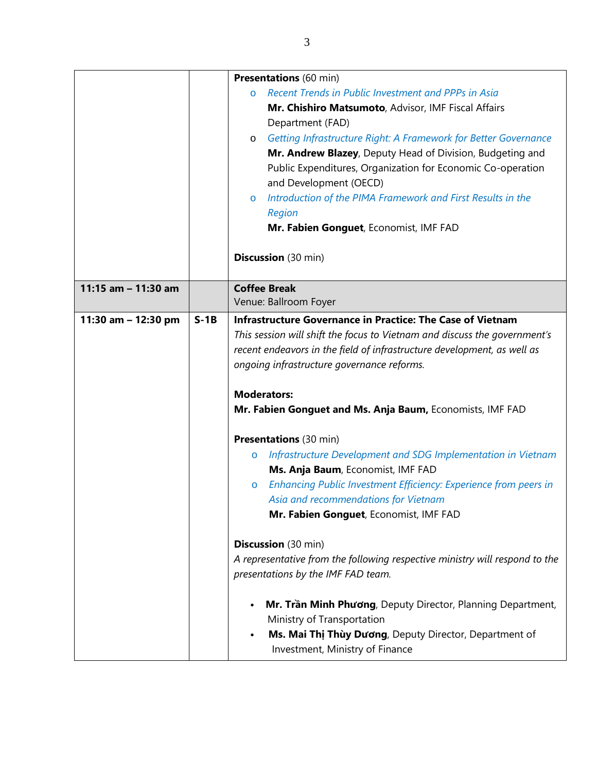|                     |        | <b>Presentations</b> (60 min)                                                             |
|---------------------|--------|-------------------------------------------------------------------------------------------|
|                     |        | Recent Trends in Public Investment and PPPs in Asia<br>$\circ$                            |
|                     |        | Mr. Chishiro Matsumoto, Advisor, IMF Fiscal Affairs                                       |
|                     |        | Department (FAD)                                                                          |
|                     |        | Getting Infrastructure Right: A Framework for Better Governance<br>$\circ$                |
|                     |        | Mr. Andrew Blazey, Deputy Head of Division, Budgeting and                                 |
|                     |        | Public Expenditures, Organization for Economic Co-operation                               |
|                     |        | and Development (OECD)                                                                    |
|                     |        | Introduction of the PIMA Framework and First Results in the<br>$\circ$                    |
|                     |        | Region                                                                                    |
|                     |        | Mr. Fabien Gonguet, Economist, IMF FAD                                                    |
|                     |        | <b>Discussion</b> (30 min)                                                                |
| 11:15 am - 11:30 am |        | <b>Coffee Break</b>                                                                       |
|                     |        | Venue: Ballroom Foyer                                                                     |
| 11:30 am - 12:30 pm | $S-1B$ | Infrastructure Governance in Practice: The Case of Vietnam                                |
|                     |        | This session will shift the focus to Vietnam and discuss the government's                 |
|                     |        | recent endeavors in the field of infrastructure development, as well as                   |
|                     |        | ongoing infrastructure governance reforms.                                                |
|                     |        | <b>Moderators:</b>                                                                        |
|                     |        | Mr. Fabien Gonguet and Ms. Anja Baum, Economists, IMF FAD                                 |
|                     |        | <b>Presentations</b> (30 min)                                                             |
|                     |        | Infrastructure Development and SDG Implementation in Vietnam<br>$\circ$                   |
|                     |        | Ms. Anja Baum, Economist, IMF FAD                                                         |
|                     |        | Enhancing Public Investment Efficiency: Experience from peers in<br>$\circ$               |
|                     |        | Asia and recommendations for Vietnam                                                      |
|                     |        | Mr. Fabien Gonguet, Economist, IMF FAD                                                    |
|                     |        | <b>Discussion</b> (30 min)                                                                |
|                     |        | A representative from the following respective ministry will respond to the               |
|                     |        | presentations by the IMF FAD team.                                                        |
|                     |        | Mr. Trần Minh Phương, Deputy Director, Planning Department,                               |
|                     |        | Ministry of Transportation                                                                |
|                     |        | Ms. Mai Thi Thùy Dương, Deputy Director, Department of<br>Investment, Ministry of Finance |
|                     |        |                                                                                           |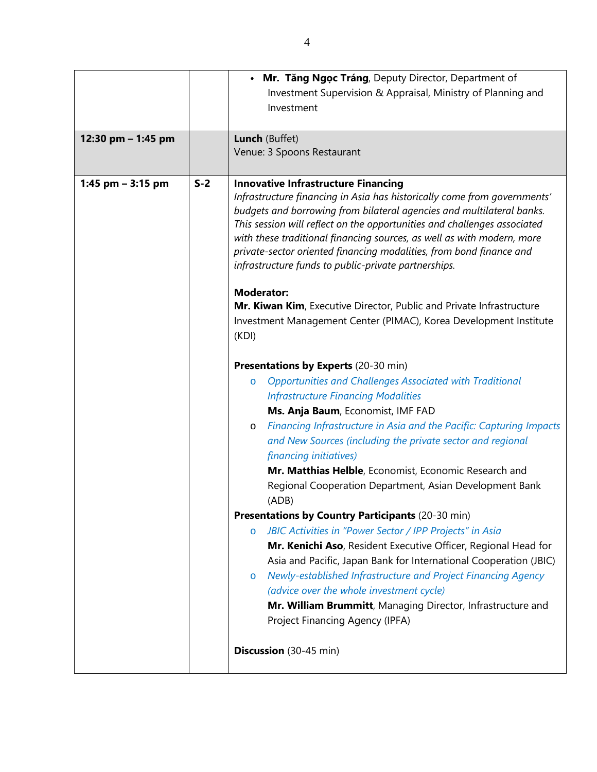|                     |       | Mr. Tăng Ngọc Tráng, Deputy Director, Department of                                                                                                                                                                                                                                                                                                                                                                                                                                                                                                                                                                                                                                                                                                                                                                                        |
|---------------------|-------|--------------------------------------------------------------------------------------------------------------------------------------------------------------------------------------------------------------------------------------------------------------------------------------------------------------------------------------------------------------------------------------------------------------------------------------------------------------------------------------------------------------------------------------------------------------------------------------------------------------------------------------------------------------------------------------------------------------------------------------------------------------------------------------------------------------------------------------------|
|                     |       | Investment Supervision & Appraisal, Ministry of Planning and                                                                                                                                                                                                                                                                                                                                                                                                                                                                                                                                                                                                                                                                                                                                                                               |
|                     |       | Investment                                                                                                                                                                                                                                                                                                                                                                                                                                                                                                                                                                                                                                                                                                                                                                                                                                 |
|                     |       |                                                                                                                                                                                                                                                                                                                                                                                                                                                                                                                                                                                                                                                                                                                                                                                                                                            |
| 12:30 pm - 1:45 pm  |       | Lunch (Buffet)                                                                                                                                                                                                                                                                                                                                                                                                                                                                                                                                                                                                                                                                                                                                                                                                                             |
|                     |       | Venue: 3 Spoons Restaurant                                                                                                                                                                                                                                                                                                                                                                                                                                                                                                                                                                                                                                                                                                                                                                                                                 |
|                     |       |                                                                                                                                                                                                                                                                                                                                                                                                                                                                                                                                                                                                                                                                                                                                                                                                                                            |
| 1:45 pm $-$ 3:15 pm | $S-2$ | <b>Innovative Infrastructure Financing</b><br>Infrastructure financing in Asia has historically come from governments'<br>budgets and borrowing from bilateral agencies and multilateral banks.<br>This session will reflect on the opportunities and challenges associated<br>with these traditional financing sources, as well as with modern, more<br>private-sector oriented financing modalities, from bond finance and<br>infrastructure funds to public-private partnerships.<br><b>Moderator:</b><br>Mr. Kiwan Kim, Executive Director, Public and Private Infrastructure<br>Investment Management Center (PIMAC), Korea Development Institute<br>(KDI)<br><b>Presentations by Experts (20-30 min)</b><br><b>Opportunities and Challenges Associated with Traditional</b><br>$\circ$<br><b>Infrastructure Financing Modalities</b> |
|                     |       | Ms. Anja Baum, Economist, IMF FAD<br>Financing Infrastructure in Asia and the Pacific: Capturing Impacts<br>O<br>and New Sources (including the private sector and regional<br><i>financing initiatives)</i><br>Mr. Matthias Helble, Economist, Economic Research and<br>Regional Cooperation Department, Asian Development Bank<br>(ADB)<br><b>Presentations by Country Participants (20-30 min)</b><br>JBIC Activities in "Power Sector / IPP Projects" in Asia<br>$\circ$                                                                                                                                                                                                                                                                                                                                                               |
|                     |       | Mr. Kenichi Aso, Resident Executive Officer, Regional Head for<br>Asia and Pacific, Japan Bank for International Cooperation (JBIC)<br>Newly-established Infrastructure and Project Financing Agency<br>$\circ$<br>(advice over the whole investment cycle)<br>Mr. William Brummitt, Managing Director, Infrastructure and                                                                                                                                                                                                                                                                                                                                                                                                                                                                                                                 |
|                     |       | Project Financing Agency (IPFA)<br>Discussion (30-45 min)                                                                                                                                                                                                                                                                                                                                                                                                                                                                                                                                                                                                                                                                                                                                                                                  |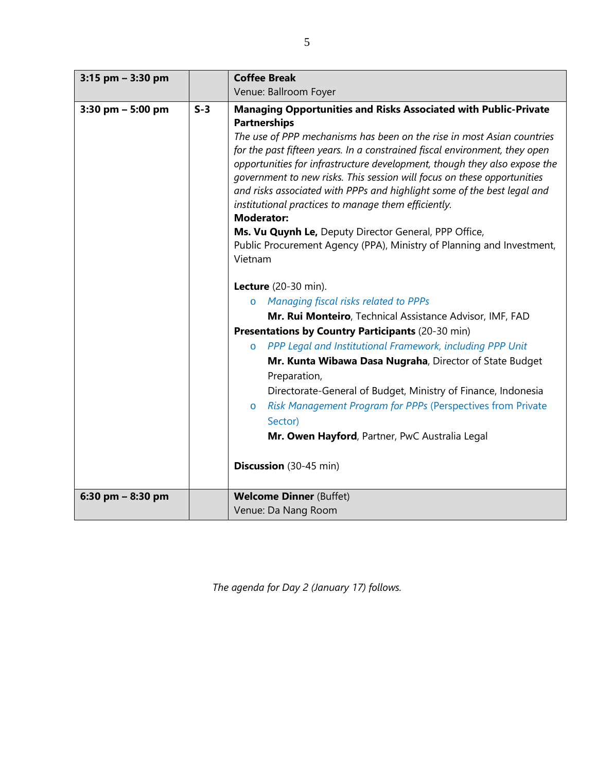| $3:15$ pm $-3:30$ pm |       | <b>Coffee Break</b><br>Venue: Ballroom Foyer                                                                                                                                                                                                                                                                                                                                                                                                                                                                                                                                                                                                                                                                      |
|----------------------|-------|-------------------------------------------------------------------------------------------------------------------------------------------------------------------------------------------------------------------------------------------------------------------------------------------------------------------------------------------------------------------------------------------------------------------------------------------------------------------------------------------------------------------------------------------------------------------------------------------------------------------------------------------------------------------------------------------------------------------|
| $3:30$ pm $-5:00$ pm | $S-3$ | <b>Managing Opportunities and Risks Associated with Public-Private</b><br><b>Partnerships</b><br>The use of PPP mechanisms has been on the rise in most Asian countries<br>for the past fifteen years. In a constrained fiscal environment, they open<br>opportunities for infrastructure development, though they also expose the<br>government to new risks. This session will focus on these opportunities<br>and risks associated with PPPs and highlight some of the best legal and<br>institutional practices to manage them efficiently.<br><b>Moderator:</b><br>Ms. Vu Quynh Le, Deputy Director General, PPP Office,<br>Public Procurement Agency (PPA), Ministry of Planning and Investment,<br>Vietnam |
|                      |       | <b>Lecture</b> (20-30 min).<br>Managing fiscal risks related to PPPs<br>$\circ$<br>Mr. Rui Monteiro, Technical Assistance Advisor, IMF, FAD<br>Presentations by Country Participants (20-30 min)<br>PPP Legal and Institutional Framework, including PPP Unit<br>$\circ$<br>Mr. Kunta Wibawa Dasa Nugraha, Director of State Budget<br>Preparation,<br>Directorate-General of Budget, Ministry of Finance, Indonesia<br><b>Risk Management Program for PPPs (Perspectives from Private</b><br>$\circ$<br>Sector)<br>Mr. Owen Hayford, Partner, PwC Australia Legal<br>Discussion (30-45 min)                                                                                                                      |
| 6:30 pm $-$ 8:30 pm  |       | <b>Welcome Dinner (Buffet)</b><br>Venue: Da Nang Room                                                                                                                                                                                                                                                                                                                                                                                                                                                                                                                                                                                                                                                             |

*The agenda for Day 2 (January 17) follows.*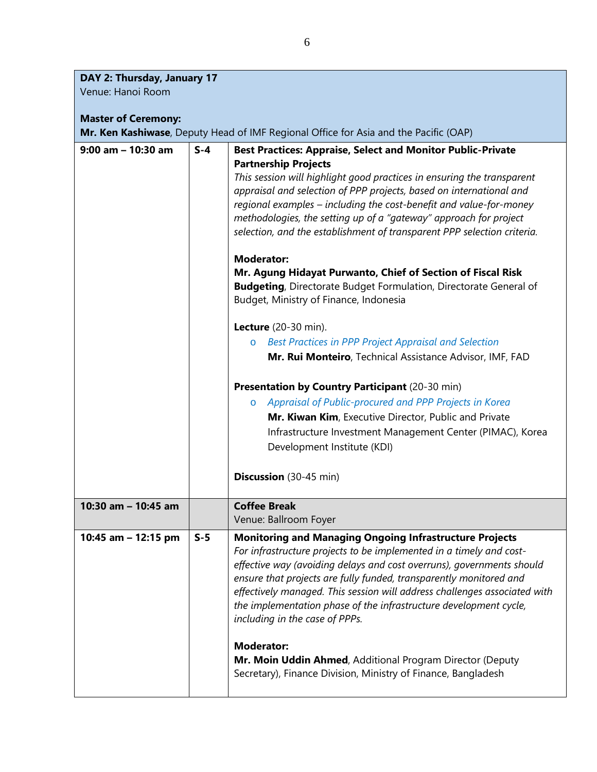**DAY 2: Thursday, January 17**

Venue: Hanoi Room

# **Master of Ceremony:**

**Mr. Ken Kashiwase**, Deputy Head of IMF Regional Office for Asia and the Pacific (OAP)

| $9:00$ am - 10:30 am  | $S-4$ | <b>Best Practices: Appraise, Select and Monitor Public-Private</b>                                                                            |
|-----------------------|-------|-----------------------------------------------------------------------------------------------------------------------------------------------|
|                       |       | <b>Partnership Projects</b>                                                                                                                   |
|                       |       | This session will highlight good practices in ensuring the transparent<br>appraisal and selection of PPP projects, based on international and |
|                       |       | regional examples – including the cost-benefit and value-for-money                                                                            |
|                       |       | methodologies, the setting up of a "gateway" approach for project                                                                             |
|                       |       | selection, and the establishment of transparent PPP selection criteria.                                                                       |
|                       |       | <b>Moderator:</b>                                                                                                                             |
|                       |       | Mr. Agung Hidayat Purwanto, Chief of Section of Fiscal Risk                                                                                   |
|                       |       | <b>Budgeting</b> , Directorate Budget Formulation, Directorate General of<br>Budget, Ministry of Finance, Indonesia                           |
|                       |       | <b>Lecture</b> (20-30 min).                                                                                                                   |
|                       |       | <b>Best Practices in PPP Project Appraisal and Selection</b><br>$\circ$                                                                       |
|                       |       | Mr. Rui Monteiro, Technical Assistance Advisor, IMF, FAD                                                                                      |
|                       |       | Presentation by Country Participant (20-30 min)                                                                                               |
|                       |       | Appraisal of Public-procured and PPP Projects in Korea<br>$\circ$                                                                             |
|                       |       | Mr. Kiwan Kim, Executive Director, Public and Private                                                                                         |
|                       |       | Infrastructure Investment Management Center (PIMAC), Korea                                                                                    |
|                       |       | Development Institute (KDI)                                                                                                                   |
|                       |       | Discussion (30-45 min)                                                                                                                        |
| 10:30 am - 10:45 am   |       | <b>Coffee Break</b>                                                                                                                           |
|                       |       | Venue: Ballroom Foyer                                                                                                                         |
| 10:45 am $-$ 12:15 pm | $S-5$ | <b>Monitoring and Managing Ongoing Infrastructure Projects</b><br>For infrastructure projects to be implemented in a timely and cost-         |
|                       |       | effective way (avoiding delays and cost overruns), governments should<br>ensure that projects are fully funded, transparently monitored and   |
|                       |       | effectively managed. This session will address challenges associated with                                                                     |
|                       |       | the implementation phase of the infrastructure development cycle,<br>including in the case of PPPs.                                           |
|                       |       |                                                                                                                                               |
|                       |       | <b>Moderator:</b>                                                                                                                             |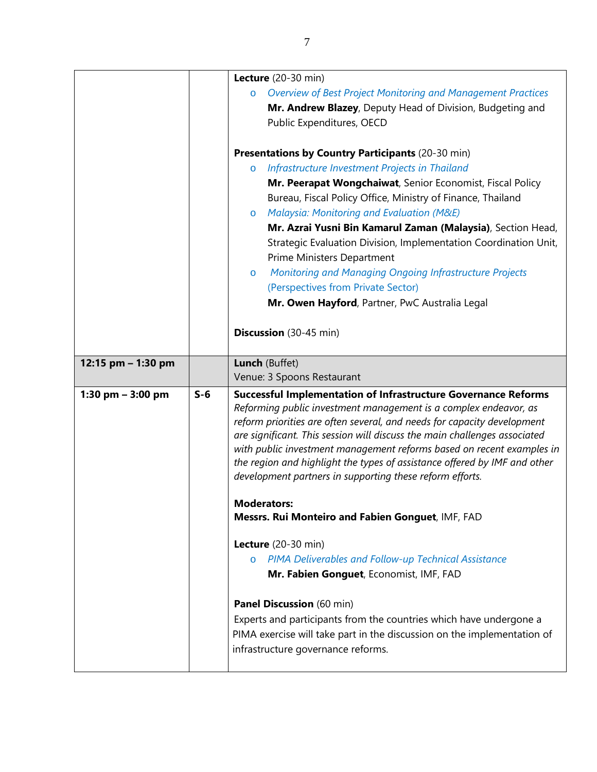|                      |       | <b>Lecture</b> (20-30 min)                                                                                                                           |
|----------------------|-------|------------------------------------------------------------------------------------------------------------------------------------------------------|
|                      |       | Overview of Best Project Monitoring and Management Practices<br>$\circ$                                                                              |
|                      |       | Mr. Andrew Blazey, Deputy Head of Division, Budgeting and                                                                                            |
|                      |       | Public Expenditures, OECD                                                                                                                            |
|                      |       |                                                                                                                                                      |
|                      |       | <b>Presentations by Country Participants (20-30 min)</b>                                                                                             |
|                      |       | Infrastructure Investment Projects in Thailand<br>$\circ$                                                                                            |
|                      |       | Mr. Peerapat Wongchaiwat, Senior Economist, Fiscal Policy                                                                                            |
|                      |       | Bureau, Fiscal Policy Office, Ministry of Finance, Thailand                                                                                          |
|                      |       | Malaysia: Monitoring and Evaluation (M&E)<br>$\circ$                                                                                                 |
|                      |       | Mr. Azrai Yusni Bin Kamarul Zaman (Malaysia), Section Head,                                                                                          |
|                      |       | Strategic Evaluation Division, Implementation Coordination Unit,                                                                                     |
|                      |       | Prime Ministers Department                                                                                                                           |
|                      |       | <b>Monitoring and Managing Ongoing Infrastructure Projects</b><br>$\circ$                                                                            |
|                      |       | (Perspectives from Private Sector)                                                                                                                   |
|                      |       | Mr. Owen Hayford, Partner, PwC Australia Legal                                                                                                       |
|                      |       |                                                                                                                                                      |
|                      |       | Discussion (30-45 min)                                                                                                                               |
|                      |       |                                                                                                                                                      |
|                      |       |                                                                                                                                                      |
|                      |       |                                                                                                                                                      |
| 12:15 pm $-$ 1:30 pm |       | Lunch (Buffet)                                                                                                                                       |
|                      |       | Venue: 3 Spoons Restaurant                                                                                                                           |
| 1:30 pm $-$ 3:00 pm  | $S-6$ | <b>Successful Implementation of Infrastructure Governance Reforms</b>                                                                                |
|                      |       | Reforming public investment management is a complex endeavor, as                                                                                     |
|                      |       | reform priorities are often several, and needs for capacity development<br>are significant. This session will discuss the main challenges associated |
|                      |       | with public investment management reforms based on recent examples in                                                                                |
|                      |       | the region and highlight the types of assistance offered by IMF and other                                                                            |
|                      |       | development partners in supporting these reform efforts.                                                                                             |
|                      |       |                                                                                                                                                      |
|                      |       | Moderators:                                                                                                                                          |
|                      |       | Messrs. Rui Monteiro and Fabien Gonguet, IMF, FAD                                                                                                    |
|                      |       |                                                                                                                                                      |
|                      |       | <b>Lecture</b> (20-30 min)                                                                                                                           |
|                      |       | <b>PIMA Deliverables and Follow-up Technical Assistance</b>                                                                                          |
|                      |       | Mr. Fabien Gonguet, Economist, IMF, FAD                                                                                                              |
|                      |       |                                                                                                                                                      |
|                      |       | <b>Panel Discussion</b> (60 min)                                                                                                                     |
|                      |       | Experts and participants from the countries which have undergone a                                                                                   |
|                      |       | PIMA exercise will take part in the discussion on the implementation of                                                                              |
|                      |       | infrastructure governance reforms.                                                                                                                   |